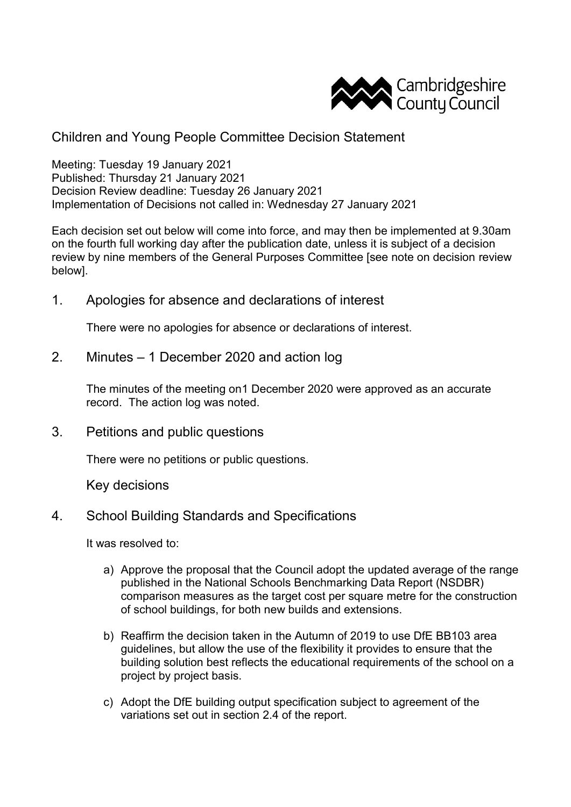

## Children and Young People Committee Decision Statement

Meeting: Tuesday 19 January 2021 Published: Thursday 21 January 2021 Decision Review deadline: Tuesday 26 January 2021 Implementation of Decisions not called in: Wednesday 27 January 2021

Each decision set out below will come into force, and may then be implemented at 9.30am on the fourth full working day after the publication date, unless it is subject of a decision review by nine members of the General Purposes Committee [see note on decision review below].

1. Apologies for absence and declarations of interest

There were no apologies for absence or declarations of interest.

2. Minutes – 1 December 2020 and action log

The minutes of the meeting on1 December 2020 were approved as an accurate record. The action log was noted.

3. Petitions and public questions

There were no petitions or public questions.

Key decisions

4. School Building Standards and Specifications

It was resolved to:

- a) Approve the proposal that the Council adopt the updated average of the range published in the National Schools Benchmarking Data Report (NSDBR) comparison measures as the target cost per square metre for the construction of school buildings, for both new builds and extensions.
- b) Reaffirm the decision taken in the Autumn of 2019 to use DfE BB103 area guidelines, but allow the use of the flexibility it provides to ensure that the building solution best reflects the educational requirements of the school on a project by project basis.
- c) Adopt the DfE building output specification subject to agreement of the variations set out in section 2.4 of the report.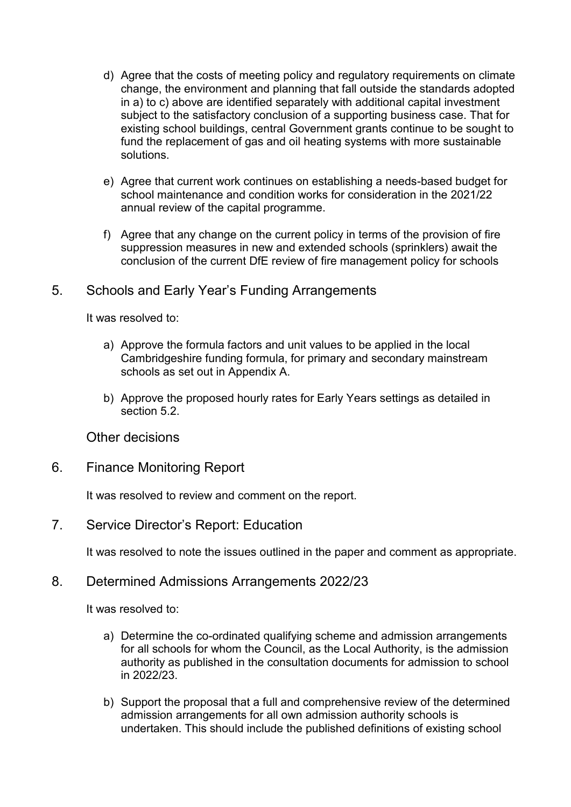- d) Agree that the costs of meeting policy and regulatory requirements on climate change, the environment and planning that fall outside the standards adopted in a) to c) above are identified separately with additional capital investment subject to the satisfactory conclusion of a supporting business case. That for existing school buildings, central Government grants continue to be sought to fund the replacement of gas and oil heating systems with more sustainable solutions.
- e) Agree that current work continues on establishing a needs-based budget for school maintenance and condition works for consideration in the 2021/22 annual review of the capital programme.
- f) Agree that any change on the current policy in terms of the provision of fire suppression measures in new and extended schools (sprinklers) await the conclusion of the current DfE review of fire management policy for schools

## 5. Schools and Early Year's Funding Arrangements

It was resolved to:

- a) Approve the formula factors and unit values to be applied in the local Cambridgeshire funding formula, for primary and secondary mainstream schools as set out in Appendix A.
- b) Approve the proposed hourly rates for Early Years settings as detailed in section 5.2.

Other decisions

6. Finance Monitoring Report

It was resolved to review and comment on the report.

7. Service Director's Report: Education

It was resolved to note the issues outlined in the paper and comment as appropriate.

## 8. Determined Admissions Arrangements 2022/23

It was resolved to:

- a) Determine the co-ordinated qualifying scheme and admission arrangements for all schools for whom the Council, as the Local Authority, is the admission authority as published in the consultation documents for admission to school in 2022/23.
- b) Support the proposal that a full and comprehensive review of the determined admission arrangements for all own admission authority schools is undertaken. This should include the published definitions of existing school